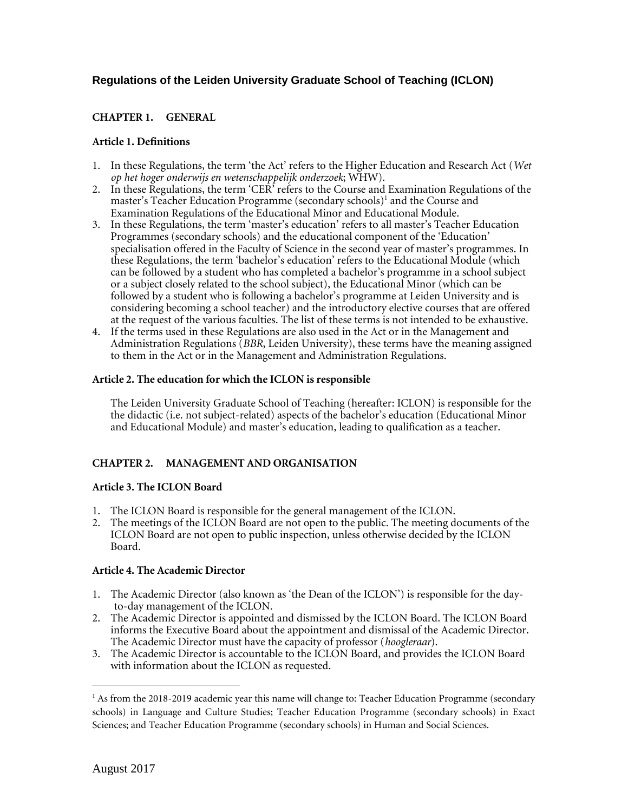# **Regulations of the Leiden University Graduate School of Teaching (ICLON)**

## **CHAPTER 1. GENERAL**

### **Article 1. Definitions**

- 1. In these Regulations, the term 'the Act' refers to the Higher Education and Research Act (*Wet op het hoger onderwijs en wetenschappelijk onderzoek*; WHW).
- <span id="page-0-0"></span>2. In these Regulations, the term  $\langle CER^2 \rangle$  refers to the Course and Examination Regulations of the master's Teacher Education Programme (secondary schools)<sup>1</sup> and the Course and Examination Regulations of the Educational Minor and Educational Module.
- 3. In these Regulations, the term 'master's education' refers to all master's Teacher Education Programmes (secondary schools) and the educational component of the 'Education' specialisation offered in the Faculty of Science in the second year of master's programmes. In these Regulations, the term 'bachelor's education' refers to the Educational Module (which can be followed by a student who has completed a bachelor's programme in a school subject or a subject closely related to the school subject), the Educational Minor (which can be followed by a student who is following a bachelor's programme at Leiden University and is considering becoming a school teacher) and the introductory elective courses that are offered at the request of the various faculties. The list of these terms is not intended to be exhaustive.
- 4. If the terms used in these Regulations are also used in the Act or in the Management and Administration Regulations (*BBR*, Leiden University), these terms have the meaning assigned to them in the Act or in the Management and Administration Regulations.

#### **Article 2. The education for which the ICLON is responsible**

The Leiden University Graduate School of Teaching (hereafter: ICLON) is responsible for the the didactic (i.e. not subject-related) aspects of the bachelor's education (Educational Minor and Educational Module) and master's education, leading to qualification as a teacher.

### **CHAPTER 2. MANAGEMENT AND ORGANISATION**

### **Article 3. The ICLON Board**

- 1. The ICLON Board is responsible for the general management of the ICLON.
- 2. The meetings of the ICLON Board are not open to the public. The meeting documents of the ICLON Board are not open to public inspection, unless otherwise decided by the ICLON Board.

### **Article 4. The Academic Director**

- 1. The Academic Director (also known as 'the Dean of the ICLON') is responsible for the dayto-day management of the ICLON.
- 2. The Academic Director is appointed and dismissed by the ICLON Board. The ICLON Board informs the Executive Board about the appointment and dismissal of the Academic Director. The Academic Director must have the capacity of professor (*hoogleraar*).
- 3. The Academic Director is accountable to the ICLON Board, and provides the ICLON Board with information about the ICLON as requested.

 $\overline{a}$ 

<sup>&</sup>lt;sup>1</sup> As from the 2018-2019 academic year this name will change to: Teacher Education Programme (secondary schools) in Language and Culture Studies; Teacher Education Programme (secondary schools) in Exact Sciences; and Teacher Education Programme (secondary schools) in Human and Social Sciences.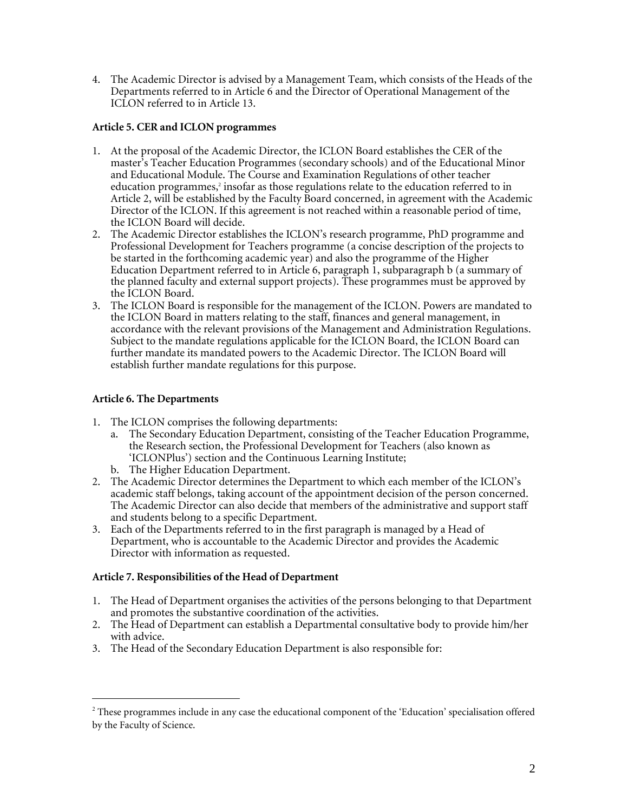4. The Academic Director is advised by a Management Team, which consists of the Heads of the Departments referred to in Article 6 and the Director of Operational Management of the ICLON referred to in Article 13.

### **Article 5. CER and ICLON programmes**

- 1. At the proposal of the Academic Director, the ICLON Board establishes the CER of the master's Teacher Education Programmes (secondary schools) and of the Educational Minor and Educational Module. The Course and Examination Regulations of other teacher education programmes, $^2$  insofar as those regulations relate to the education referred to in Article 2, will be established by the Faculty Board concerned, in agreement with the Academic Director of the ICLON. If this agreement is not reached within a reasonable period of time, the ICLON Board will decide.
- 2. The Academic Director establishes the ICLON's research programme, PhD programme and Professional Development for Teachers programme (a concise description of the projects to be started in the forthcoming academic year) and also the programme of the Higher Education Department referred to in Article 6, paragraph 1, subparagraph b (a summary of the planned faculty and external support projects). These programmes must be approved by the ICLON Board.
- 3. The ICLON Board is responsible for the management of the ICLON. Powers are mandated to the ICLON Board in matters relating to the staff, finances and general management, in accordance with the relevant provisions of the Management and Administration Regulations. Subject to the mandate regulations applicable for the ICLON Board, the ICLON Board can further mandate its mandated powers to the Academic Director. The ICLON Board will establish further mandate regulations for this purpose.

## **Article 6. The Departments**

 $\overline{a}$ 

- 1. The ICLON comprises the following departments:
	- a. The Secondary Education Department, consisting of the Teacher Education Programme, the Research section, the Professional Development for Teachers (also known as 'ICLONPlus') section and the Continuous Learning Institute;
	- b. The Higher Education Department.
- 2. The Academic Director determines the Department to which each member of the ICLON's academic staff belongs, taking account of the appointment decision of the person concerned. The Academic Director can also decide that members of the administrative and support staff and students belong to a specific Department.
- 3. Each of the Departments referred to in the first paragraph is managed by a Head of Department, who is accountable to the Academic Director and provides the Academic Director with information as requested.

# **Article 7. Responsibilities of the Head of Department**

- 1. The Head of Department organises the activities of the persons belonging to that Department and promotes the substantive coordination of the activities.
- 2. The Head of Department can establish a Departmental consultative body to provide him/her with advice.
- 3. The Head of the Secondary Education Department is also responsible for:

<sup>&</sup>lt;sup>2</sup> These programmes include in any case the educational component of the 'Education' specialisation offered by the Faculty of Science.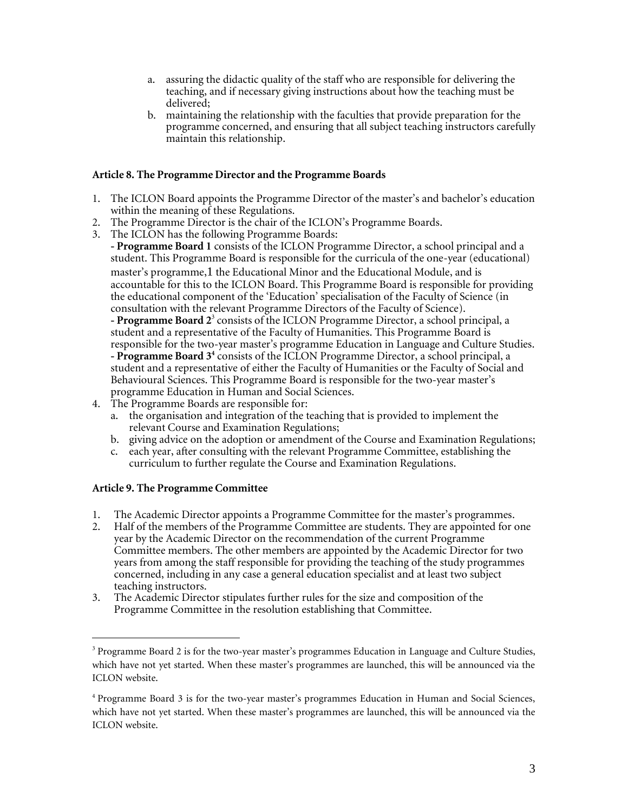- a. assuring the didactic quality of the staff who are responsible for delivering the teaching, and if necessary giving instructions about how the teaching must be delivered;
- b. maintaining the relationship with the faculties that provide preparation for the programme concerned, and ensuring that all subject teaching instructors carefully maintain this relationship.

### **Article 8. The Programme Director and the Programme Boards**

- 1. The ICLON Board appoints the Programme Director of the master's and bachelor's education within the meaning of these Regulations.
- 2. The Programme Director is the chair of the ICLON's Programme Boards.
- 3. The ICLON has the following Programme Boards:

**- Programme Board 1** consists of the ICLON Programme Director, a school principal and a student. This Programme Board is responsible for the curricula of the one-year (educational) master's programme,[1](#page-0-0) the Educational Minor and the Educational Module, and is accountable for this to the ICLON Board. This Programme Board is responsible for providing the educational component of the 'Education' specialisation of the Faculty of Science (in consultation with the relevant Programme Directors of the Faculty of Science).

**- Programme Board 2** 3 consists of the ICLON Programme Director, a school principal, a student and a representative of the Faculty of Humanities. This Programme Board is responsible for the two-year master's programme Education in Language and Culture Studies. **- Programme Board 3 4** consists of the ICLON Programme Director, a school principal, a student and a representative of either the Faculty of Humanities or the Faculty of Social and Behavioural Sciences. This Programme Board is responsible for the two-year master's programme Education in Human and Social Sciences.

- 4. The Programme Boards are responsible for:
	- a. the organisation and integration of the teaching that is provided to implement the relevant Course and Examination Regulations;
	- b. giving advice on the adoption or amendment of the Course and Examination Regulations;
	- c. each year, after consulting with the relevant Programme Committee, establishing the curriculum to further regulate the Course and Examination Regulations.

### **Article 9. The Programme Committee**

 $\overline{a}$ 

- 1. The Academic Director appoints a Programme Committee for the master's programmes.
- 2. Half of the members of the Programme Committee are students. They are appointed for one year by the Academic Director on the recommendation of the current Programme Committee members. The other members are appointed by the Academic Director for two years from among the staff responsible for providing the teaching of the study programmes concerned, including in any case a general education specialist and at least two subject teaching instructors.
- 3. The Academic Director stipulates further rules for the size and composition of the Programme Committee in the resolution establishing that Committee.

<sup>&</sup>lt;sup>3</sup> Programme Board 2 is for the two-year master's programmes Education in Language and Culture Studies, which have not yet started. When these master's programmes are launched, this will be announced via the ICLON website.

<sup>4</sup> Programme Board 3 is for the two-year master's programmes Education in Human and Social Sciences, which have not yet started. When these master's programmes are launched, this will be announced via the ICLON website.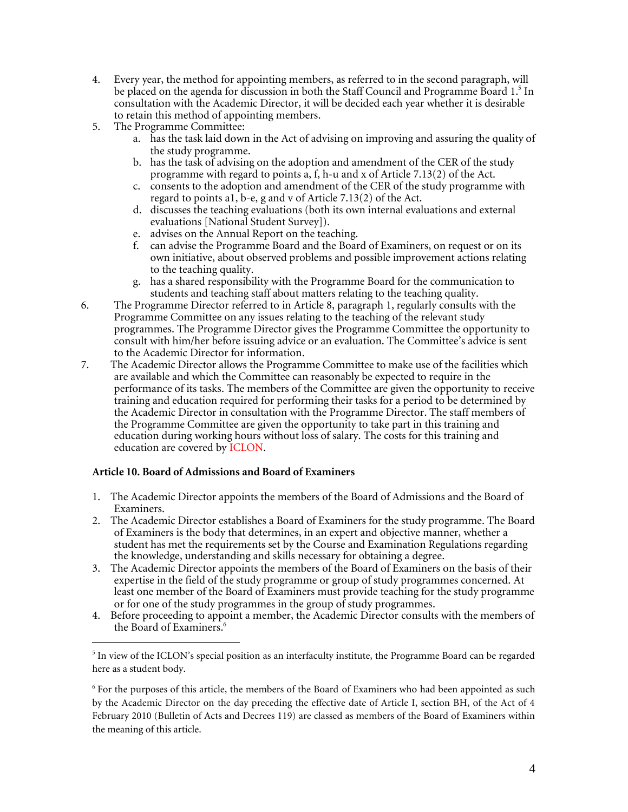- 4. Every year, the method for appointing members, as referred to in the second paragraph, will be placed on the agenda for discussion in both the Staff Council and Programme Board 1. 5 In consultation with the Academic Director, it will be decided each year whether it is desirable to retain this method of appointing members.
- 5. The Programme Committee:
	- a. has the task laid down in the Act of advising on improving and assuring the quality of the study programme.
	- b. has the task of advising on the adoption and amendment of the CER of the study programme with regard to points a, f, h-u and x of Article 7.13(2) of the Act.
	- c. consents to the adoption and amendment of the CER of the study programme with regard to points a1, b-e, g and v of Article 7.13(2) of the Act.
	- d. discusses the teaching evaluations (both its own internal evaluations and external evaluations [National Student Survey]).
	- e. advises on the Annual Report on the teaching.
	- f. can advise the Programme Board and the Board of Examiners, on request or on its own initiative, about observed problems and possible improvement actions relating to the teaching quality.
	- g. has a shared responsibility with the Programme Board for the communication to students and teaching staff about matters relating to the teaching quality.
- 6. The Programme Director referred to in Article 8, paragraph 1, regularly consults with the Programme Committee on any issues relating to the teaching of the relevant study programmes. The Programme Director gives the Programme Committee the opportunity to consult with him/her before issuing advice or an evaluation. The Committee's advice is sent to the Academic Director for information.
- 7. The Academic Director allows the Programme Committee to make use of the facilities which are available and which the Committee can reasonably be expected to require in the performance of its tasks. The members of the Committee are given the opportunity to receive training and education required for performing their tasks for a period to be determined by the Academic Director in consultation with the Programme Director. The staff members of the Programme Committee are given the opportunity to take part in this training and education during working hours without loss of salary. The costs for this training and education are covered by ICLON.

# **Article 10. Board of Admissions and Board of Examiners**

 $\overline{a}$ 

- 1. The Academic Director appoints the members of the Board of Admissions and the Board of Examiners.
- 2. The Academic Director establishes a Board of Examiners for the study programme. The Board of Examiners is the body that determines, in an expert and objective manner, whether a student has met the requirements set by the Course and Examination Regulations regarding the knowledge, understanding and skills necessary for obtaining a degree.
- 3. The Academic Director appoints the members of the Board of Examiners on the basis of their expertise in the field of the study programme or group of study programmes concerned. At least one member of the Board of Examiners must provide teaching for the study programme or for one of the study programmes in the group of study programmes.
- 4. Before proceeding to appoint a member, the Academic Director consults with the members of the Board of Examiners. 6

<sup>&</sup>lt;sup>5</sup> In view of the ICLON's special position as an interfaculty institute, the Programme Board can be regarded here as a student body.

<sup>&</sup>lt;sup>6</sup> For the purposes of this article, the members of the Board of Examiners who had been appointed as such by the Academic Director on the day preceding the effective date of Article I, section BH, of the Act of 4 February 2010 (Bulletin of Acts and Decrees 119) are classed as members of the Board of Examiners within the meaning of this article.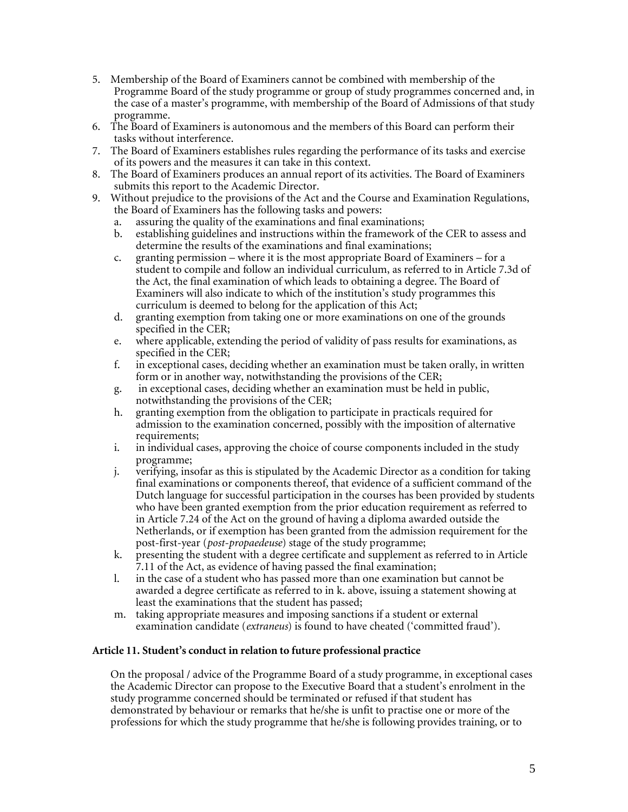- 5. Membership of the Board of Examiners cannot be combined with membership of the Programme Board of the study programme or group of study programmes concerned and, in the case of a master's programme, with membership of the Board of Admissions of that study programme.
- 6. The Board of Examiners is autonomous and the members of this Board can perform their tasks without interference.
- 7. The Board of Examiners establishes rules regarding the performance of its tasks and exercise of its powers and the measures it can take in this context.
- 8. The Board of Examiners produces an annual report of its activities. The Board of Examiners submits this report to the Academic Director.
- 9. Without prejudice to the provisions of the Act and the Course and Examination Regulations, the Board of Examiners has the following tasks and powers:
	- a. assuring the quality of the examinations and final examinations;
	- b. establishing guidelines and instructions within the framework of the CER to assess and determine the results of the examinations and final examinations;
	- c. granting permission where it is the most appropriate Board of Examiners for a student to compile and follow an individual curriculum, as referred to in Article 7.3d of the Act, the final examination of which leads to obtaining a degree. The Board of Examiners will also indicate to which of the institution's study programmes this curriculum is deemed to belong for the application of this Act;
	- d. granting exemption from taking one or more examinations on one of the grounds specified in the CER;
	- e. where applicable, extending the period of validity of pass results for examinations, as specified in the CER;
	- f. in exceptional cases, deciding whether an examination must be taken orally, in written form or in another way, notwithstanding the provisions of the CER;
	- g. in exceptional cases, deciding whether an examination must be held in public, notwithstanding the provisions of the CER;
	- h. granting exemption from the obligation to participate in practicals required for admission to the examination concerned, possibly with the imposition of alternative requirements;
	- i. in individual cases, approving the choice of course components included in the study programme;
	- j. verifying, insofar as this is stipulated by the Academic Director as a condition for taking final examinations or components thereof, that evidence of a sufficient command of the Dutch language for successful participation in the courses has been provided by students who have been granted exemption from the prior education requirement as referred to in Article 7.24 of the Act on the ground of having a diploma awarded outside the Netherlands, or if exemption has been granted from the admission requirement for the post-first-year (*post-propaedeuse*) stage of the study programme;
	- k. presenting the student with a degree certificate and supplement as referred to in Article 7.11 of the Act, as evidence of having passed the final examination;
	- l. in the case of a student who has passed more than one examination but cannot be awarded a degree certificate as referred to in k. above, issuing a statement showing at least the examinations that the student has passed;
	- m. taking appropriate measures and imposing sanctions if a student or external examination candidate (*extraneus*) is found to have cheated ('committed fraud').

### **Article 11. Student's conduct in relation to future professional practice**

On the proposal / advice of the Programme Board of a study programme, in exceptional cases the Academic Director can propose to the Executive Board that a student's enrolment in the study programme concerned should be terminated or refused if that student has demonstrated by behaviour or remarks that he/she is unfit to practise one or more of the professions for which the study programme that he/she is following provides training, or to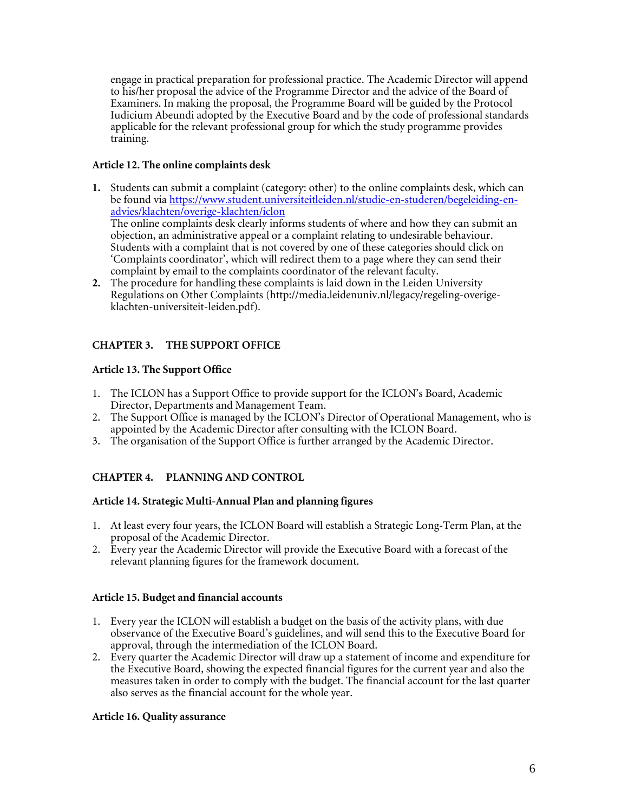engage in practical preparation for professional practice. The Academic Director will append to his/her proposal the advice of the Programme Director and the advice of the Board of Examiners. In making the proposal, the Programme Board will be guided by the Protocol Iudicium Abeundi adopted by the Executive Board and by the code of professional standards applicable for the relevant professional group for which the study programme provides training.

## **Article 12. The online complaints desk**

- **1.** Students can submit a complaint (category: other) to the online complaints desk, which can be found via [https://www.student.universiteitleiden.nl/studie-en-studeren/begeleiding-en](https://www.student.universiteitleiden.nl/studie-en-studeren/begeleiding-en-advies/klachten/overige-klachten/iclon/leraar-vho-in-algemene-economie-msc?cf=universiteit&cd=gast#tab-2)[advies/klachten/overige-klachten/iclon](https://www.student.universiteitleiden.nl/studie-en-studeren/begeleiding-en-advies/klachten/overige-klachten/iclon/leraar-vho-in-algemene-economie-msc?cf=universiteit&cd=gast#tab-2) The online complaints desk clearly informs students of where and how they can submit an objection, an administrative appeal or a complaint relating to undesirable behaviour. Students with a complaint that is not covered by one of these categories should click on 'Complaints coordinator', which will redirect them to a page where they can send their
- complaint by email to the complaints coordinator of the relevant faculty. **2.** The procedure for handling these complaints is laid down in the Leiden University Regulations on Other Complaints [\(http://media.leidenuniv.nl/legacy/regeling-overige](http://media.leidenuniv.nl/legacy/regeling-overige-klachten-universiteit-leiden.pdf)[klachten-universiteit-leiden.pdf\)](http://media.leidenuniv.nl/legacy/regeling-overige-klachten-universiteit-leiden.pdf).

# **CHAPTER 3. THE SUPPORT OFFICE**

# **Article 13. The Support Office**

- 1. The ICLON has a Support Office to provide support for the ICLON's Board, Academic Director, Departments and Management Team.
- 2. The Support Office is managed by the ICLON's Director of Operational Management, who is appointed by the Academic Director after consulting with the ICLON Board.
- 3. The organisation of the Support Office is further arranged by the Academic Director.

# **CHAPTER 4. PLANNING AND CONTROL**

# **Article 14. Strategic Multi-Annual Plan and planning figures**

- 1. At least every four years, the ICLON Board will establish a Strategic Long-Term Plan, at the proposal of the Academic Director.
- 2. Every year the Academic Director will provide the Executive Board with a forecast of the relevant planning figures for the framework document.

# **Article 15. Budget and financial accounts**

- 1. Every year the ICLON will establish a budget on the basis of the activity plans, with due observance of the Executive Board's guidelines, and will send this to the Executive Board for approval, through the intermediation of the ICLON Board.
- 2. Every quarter the Academic Director will draw up a statement of income and expenditure for the Executive Board, showing the expected financial figures for the current year and also the measures taken in order to comply with the budget. The financial account for the last quarter also serves as the financial account for the whole year.

# **Article 16. Quality assurance**